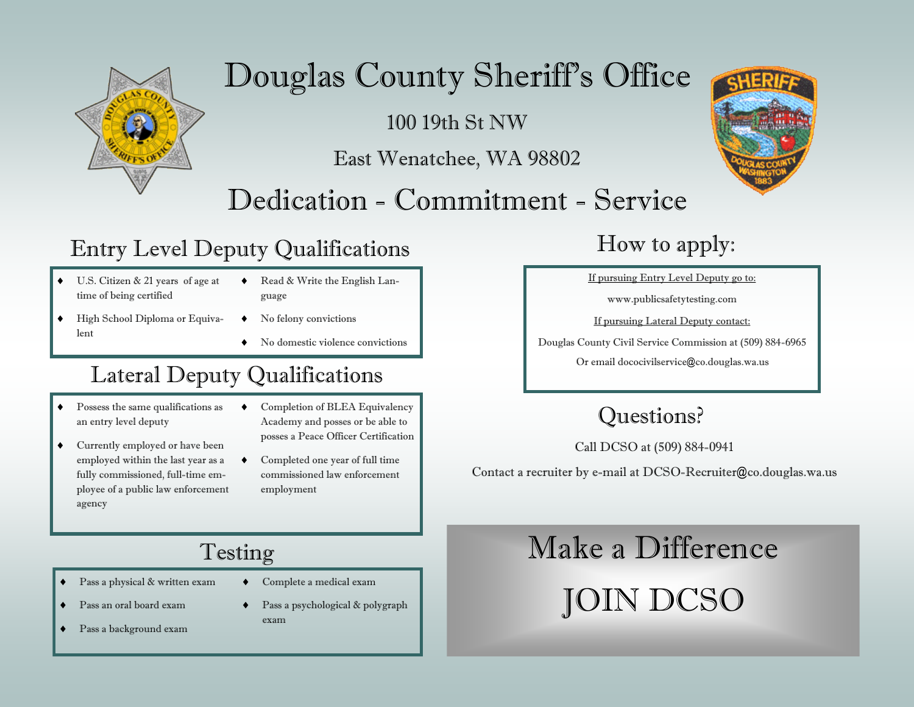

# Douglas County Sheriff's Office

100 19th St NW

East Wenatchee, WA 98802

## Dedication - Commitment - Service

### Entry Level Deputy Qualifications

- U.S. Citizen & 21 years of age at time of being certified
- ◆ Read & Write the English Language
- $\leftrightarrow$  High School Diploma or Equivalent
- $\bullet$  No felony convictions
- No domestic violence convictions

### Lateral Deputy Qualifications

- Possess the same qualifications as an entry level deputy
- Currently employed or have been employed within the last year as a fully commissioned, full-time employee of a public law enforcement agency
- Completion of BLEA Equivalency Academy and posses or be able to posses a Peace Officer Certification
- Completed one year of full time commissioned law enforcement employment

### How to apply:

If pursuing Entry Level Deputy go to:

www.publicsafetytesting.com

If pursuing Lateral Deputy contact:

Douglas County Civil Service Commission at (509) 884-6965

Or email dococivilservice@co.douglas.wa.us

### Questions?

Call DCSO at (509) 884-0941

Contact a recruiter by e-mail at DCSO-Recruiter@co.douglas.wa.us

### Testing

- Pass a physical & written exam
	- Pass an oral board exam
- Complete a medical exam
- Pass a background exam
- ◆ Pass a psychological & polygraph exam

# Make a Difference

JOIN DCSO